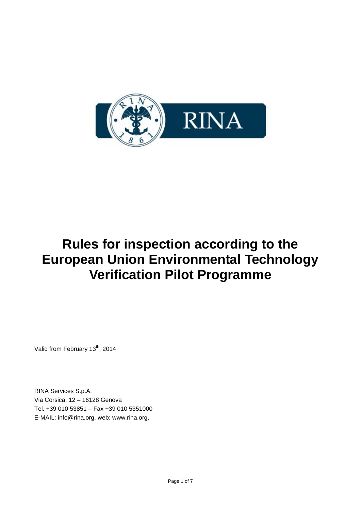

# **Rules for inspection according to the European Union Environmental Technology Verification Pilot Programme**

Valid from February 13<sup>th</sup>, 2014

RINA Services S.p.A. Via Corsica, 12 – 16128 Genova Tel. +39 010 53851 – Fax +39 010 5351000 E-MAIL: info@rina.org, web: www.rina.org,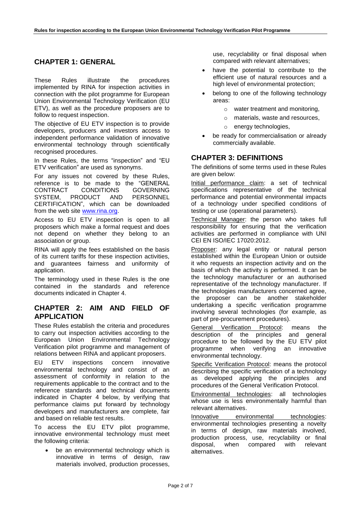# **CHAPTER 1: GENERAL**

These Rules illustrate the procedures implemented by RINA for inspection activities in connection with the pilot programme for European Union Environmental Technology Verification (EU ETV), as well as the procedure proposers are to follow to request inspection.

The objective of EU ETV inspection is to provide developers, producers and investors access to independent performance validation of innovative environmental technology through scientifically recognised procedures.

In these Rules, the terms "inspection" and "EU ETV verification" are used as synonyms.

For any issues not covered by these Rules, reference is to be made to the "GENERAL CONTRACT CONDITIONS GOVERNING SYSTEM, PRODUCT AND PERSONNEL CERTIFICATION", which can be downloaded from the web site [www.rina.org.](http://www.rina.org/)

Access to EU ETV inspection is open to all proposers which make a formal request and does not depend on whether they belong to an association or group.

RINA will apply the fees established on the basis of its current tariffs for these inspection activities, and guarantees fairness and uniformity of application.

The terminology used in these Rules is the one contained in the standards and reference documents indicated in Chapter 4.

## **CHAPTER 2: AIM AND FIELD OF APPLICATION**

These Rules establish the criteria and procedures to carry out inspection activities according to the European Union Environmental Technology Verification pilot programme and management of relations between RINA and applicant proposers.

EU ETV inspections concern innovative environmental technology and consist of an assessment of conformity in relation to the requirements applicable to the contract and to the reference standards and technical documents indicated in Chapter 4 below, by verifying that performance claims put forward by technology developers and manufacturers are complete, fair and based on reliable test results.

To access the EU ETV pilot programme, innovative environmental technology must meet the following criteria:

 be an environmental technology which is innovative in terms of design, raw materials involved, production processes, use, recyclability or final disposal when compared with relevant alternatives;

- have the potential to contribute to the efficient use of natural resources and a high level of environmental protection;
- belong to one of the following technology areas:
	- o water treatment and monitoring,
	- o materials, waste and resources,
	- o energy technologies,
- be ready for commercialisation or already commercially available.

# **CHAPTER 3: DEFINITIONS**

The definitions of some terms used in these Rules are given below:

Initial performance claim: a set of technical specifications representative of the technical performance and potential environmental impacts of a technology under specified conditions of testing or use (operational parameters).

Technical Manager: the person who takes full responsibility for ensuring that the verification activities are performed in compliance with UNI CEI EN ISO/IEC 17020:2012.

Proposer: any legal entity or natural person established within the European Union or outside it who requests an inspection activity and on the basis of which the activity is performed. It can be the technology manufacturer or an authorised representative of the technology manufacturer. If the technologies manufacturers concerned agree, the proposer can be another stakeholder undertaking a specific verification programme involving several technologies (for example, as part of pre-procurement procedures).

General Verification Protocol: means the description of the principles and general procedure to be followed by the EU ETV pilot programme when verifying an innovative environmental technology.

Specific Verification Protocol: means the protocol describing the specific verification of a technology as developed applying the principles and procedures of the General Verification Protocol.

Environmental technologies: all technologies whose use is less environmentally harmful than relevant alternatives.

Innovative environmental technologies: environmental technologies presenting a novelty in terms of design, raw materials involved, production process, use, recyclability or final disposal, when compared with relevant alternatives.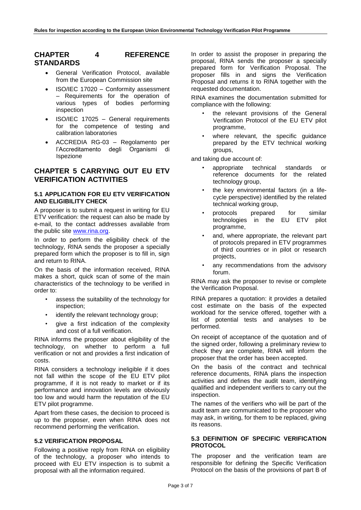# **CHAPTER 4 REFERENCE STANDARDS**

- General Verification Protocol, available from the European Commission site
- ISO/IEC 17020 Conformity assessment – Requirements for the operation of various types of bodies performing inspection
- ISO/IEC 17025 General requirements for the competence of testing and calibration laboratories
- ACCREDIA RG-03 Regolamento per l'Accreditamento degli Organismi di Ispezione

## **CHAPTER 5 CARRYING OUT EU ETV VERIFICATION ACTIVITIES**

#### **5.1 APPLICATION FOR EU ETV VERIFICATION AND ELIGIBILITY CHECK**

A proposer is to submit a request in writing for EU ETV verification: the request can also be made by e-mail, to the contact addresses available from the public site [www.rina.org.](http://www.rina.org/)

In order to perform the eligibility check of the technology, RINA sends the proposer a specially prepared form which the proposer is to fill in, sign and return to RINA.

On the basis of the information received, RINA makes a short, quick scan of some of the main characteristics of the technology to be verified in order to:

- assess the suitability of the technology for inspection;
- identify the relevant technology group;
- give a first indication of the complexity and cost of a full verification.

RINA informs the proposer about eligibility of the technology, on whether to perform a full verification or not and provides a first indication of costs.

RINA considers a technology ineligible if it does not fall within the scope of the EU ETV pilot programme, if it is not ready to market or if its performance and innovation levels are obviously too low and would harm the reputation of the EU ETV pilot programme.

Apart from these cases, the decision to proceed is up to the proposer, even when RINA does not recommend performing the verification.

## **5.2 VERIFICATION PROPOSAL**

Following a positive reply from RINA on eligibility of the technology, a proposer who intends to proceed with EU ETV inspection is to submit a proposal with all the information required.

In order to assist the proposer in preparing the proposal, RINA sends the proposer a specially prepared form for Verification Proposal. The proposer fills in and signs the Verification Proposal and returns it to RINA together with the requested documentation.

RINA examines the documentation submitted for compliance with the following:

- the relevant provisions of the General Verification Protocol of the EU ETV pilot programme,
- where relevant, the specific guidance prepared by the ETV technical working groups,

and taking due account of:

- appropriate technical standards or reference documents for the related technology group,
- the key environmental factors (in a lifecycle perspective) identified by the related technical working group.
- protocols prepared for similar technologies in the EU ETV pilot programme,
- and, where appropriate, the relevant part of protocols prepared in ETV programmes of third countries or in pilot or research projects,
- any recommendations from the advisory forum.

RINA may ask the proposer to revise or complete the Verification Proposal.

RINA prepares a quotation: it provides a detailed cost estimate on the basis of the expected workload for the service offered, together with a list of potential tests and analyses to be performed.

On receipt of acceptance of the quotation and of the signed order, following a preliminary review to check they are complete, RINA will inform the proposer that the order has been accepted.

On the basis of the contract and technical reference documents, RINA plans the inspection activities and defines the audit team, identifying qualified and independent verifiers to carry out the inspection.

The names of the verifiers who will be part of the audit team are communicated to the proposer who may ask, in writing, for them to be replaced, giving its reasons.

### **5.3 DEFINITION OF SPECIFIC VERIFICATION PROTOCOL**

The proposer and the verification team are responsible for defining the Specific Verification Protocol on the basis of the provisions of part B of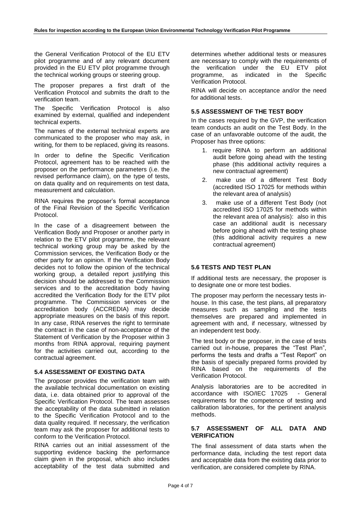the General Verification Protocol of the EU ETV pilot programme and of any relevant document provided in the EU ETV pilot programme through the technical working groups or steering group.

The proposer prepares a first draft of the Verification Protocol and submits the draft to the verification team.

The Specific Verification Protocol is also examined by external, qualified and independent technical experts.

The names of the external technical experts are communicated to the proposer who may ask, in writing, for them to be replaced, giving its reasons.

In order to define the Specific Verification Protocol, agreement has to be reached with the proposer on the performance parameters (i.e. the revised performance claim), on the type of tests, on data quality and on requirements on test data, measurement and calculation.

RINA requires the proposer's formal acceptance of the Final Revision of the Specific Verification Protocol.

In the case of a disagreement between the Verification Body and Proposer or another party in relation to the ETV pilot programme, the relevant technical working group may be asked by the Commission services, the Verification Body or the other party for an opinion. If the Verification Body decides not to follow the opinion of the technical working group, a detailed report justifying this decision should be addressed to the Commission services and to the accreditation body having accredited the Verification Body for the ETV pilot programme. The Commission services or the accreditation body (ACCREDIA) may decide appropriate measures on the basis of this report. In any case, RINA reserves the right to terminate the contract in the case of non-acceptance of the Statement of Verification by the Proposer within 3 months from RINA approval, requiring payment for the activities carried out, according to the contractual agreement.

#### **5.4 ASSESSMENT OF EXISTING DATA**

The proposer provides the verification team with the available technical documentation on existing data, i.e. data obtained prior to approval of the Specific Verification Protocol. The team assesses the acceptability of the data submitted in relation to the Specific Verification Protocol and to the data quality required. If necessary, the verification team may ask the proposer for additional tests to conform to the Verification Protocol.

RINA carries out an initial assessment of the supporting evidence backing the performance claim given in the proposal, which also includes acceptability of the test data submitted and determines whether additional tests or measures are necessary to comply with the requirements of the verification under the EU ETV pilot programme, as indicated in the Specific Verification Protocol.

RINA will decide on acceptance and/or the need for additional tests.

#### **5.5 ASSESSMENT OF THE TEST BODY**

In the cases required by the GVP, the verification team conducts an audit on the Test Body. In the case of an unfavorable outcome of the audit, the Proposer has three options:

- 1. require RINA to perform an additional audit before going ahead with the testing phase (this additional activity requires a new contractual agreement)
- 2. make use of a different Test Body (accredited ISO 17025 for methods within the relevant area of analysis)
- 3. make use of a different Test Body (not accredited ISO 17025 for methods within the relevant area of analysis): also in this case an additional audit is necessary before going ahead with the testing phase (this additional activity requires a new contractual agreement)

#### **5.6 TESTS AND TEST PLAN**

If additional tests are necessary, the proposer is to designate one or more test bodies.

The proposer may perform the necessary tests inhouse. In this case, the test plans, all preparatory measures such as sampling and the tests themselves are prepared and implemented in agreement with and, if necessary, witnessed by an independent test body.

The test body or the proposer, in the case of tests carried out in-house, prepares the "Test Plan", performs the tests and drafts a "Test Report" on the basis of specially prepared forms provided by RINA based on the requirements of the Verification Protocol.

Analysis laboratories are to be accredited in accordance with ISO/IEC 17025 - General requirements for the competence of testing and calibration laboratories, for the pertinent analysis methods.

#### **5.7 ASSESSMENT OF ALL DATA AND VERIFICATION**

The final assessment of data starts when the performance data, including the test report data and acceptable data from the existing data prior to verification, are considered complete by RINA.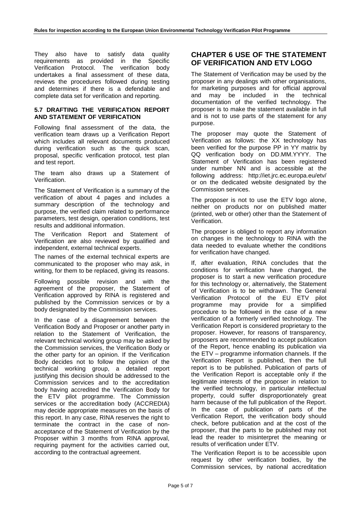They also have to satisfy data quality requirements as provided in the Specific Verification Protocol. The verification body undertakes a final assessment of these data, reviews the procedures followed during testing and determines if there is a defendable and complete data set for verification and reporting.

#### **5.7 DRAFTING THE VERIFICATION REPORT AND STATEMENT OF VERIFICATION**

Following final assessment of the data, the verification team draws up a Verification Report which includes all relevant documents produced during verification such as the quick scan, proposal, specific verification protocol, test plan and test report.

The team also draws up a Statement of Verification.

The Statement of Verification is a summary of the verification of about 4 pages and includes a summary description of the technology and purpose, the verified claim related to performance parameters, test design, operation conditions, test results and additional information.

The Verification Report and Statement of Verification are also reviewed by qualified and independent, external technical experts.

The names of the external technical experts are communicated to the proposer who may ask, in writing, for them to be replaced, giving its reasons.

Following possible revision and with the agreement of the proposer, the Statement of Verification approved by RINA is registered and published by the Commission services or by a body designated by the Commission services.

In the case of a disagreement between the Verification Body and Proposer or another party in relation to the Statement of Verification, the relevant technical working group may be asked by the Commission services, the Verification Body or the other party for an opinion. If the Verification Body decides not to follow the opinion of the technical working group, a detailed report justifying this decision should be addressed to the Commission services and to the accreditation body having accredited the Verification Body for the ETV pilot programme. The Commission services or the accreditation body (ACCREDIA) may decide appropriate measures on the basis of this report. In any case, RINA reserves the right to terminate the contract in the case of nonacceptance of the Statement of Verification by the Proposer within 3 months from RINA approval, requiring payment for the activities carried out, according to the contractual agreement.

# **CHAPTER 6 USE OF THE STATEMENT OF VERIFICATION AND ETV LOGO**

The Statement of Verification may be used by the proposer in any dealings with other organisations, for marketing purposes and for official approval and may be included in the technical documentation of the verified technology. The proposer is to make the statement available in full and is not to use parts of the statement for any purpose.

The proposer may quote the Statement of Verification as follows: the XX technology has been verified for the purpose PP in YY matrix by QQ verification body on DD.MM.YYYY. The Statement of Verification has been registered under number NN and is accessible at the following address: http://iet.jrc.ec.europa.eu/etv/ or on the dedicated website designated by the Commission services.

The proposer is not to use the ETV logo alone, neither on products nor on published matter (printed, web or other) other than the Statement of Verification.

The proposer is obliged to report any information on changes in the technology to RINA with the data needed to evaluate whether the conditions for verification have changed.

If, after evaluation, RINA concludes that the conditions for verification have changed, the proposer is to start a new verification procedure for this technology or, alternatively, the Statement of Verification is to be withdrawn. The General Verification Protocol of the EU ETV pilot programme may provide for a simplified procedure to be followed in the case of a new verification of a formerly verified technology. The Verification Report is considered proprietary to the proposer. However, for reasons of transparency, proposers are recommended to accept publication of the Report, hence enabling its publication via the ETV – programme information channels. If the Verification Report is published, then the full report is to be published. Publication of parts of the Verification Report is acceptable only if the legitimate interests of the proposer in relation to the verified technology, in particular intellectual property, could suffer disproportionately great harm because of the full publication of the Report. In the case of publication of parts of the Verification Report, the verification body should check, before publication and at the cost of the proposer, that the parts to be published may not lead the reader to misinterpret the meaning or results of verification under ETV.

The Verification Report is to be accessible upon request by other verification bodies, by the Commission services, by national accreditation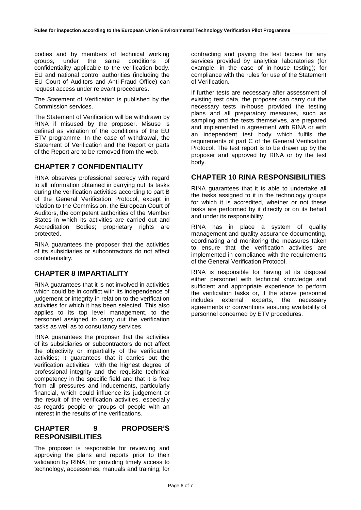bodies and by members of technical working groups, under the same conditions of confidentiality applicable to the verification body. EU and national control authorities (including the EU Court of Auditors and Anti-Fraud Office) can request access under relevant procedures.

The Statement of Verification is published by the Commission services.

The Statement of Verification will be withdrawn by RINA if misused by the proposer. Misuse is defined as violation of the conditions of the EU ETV programme. In the case of withdrawal, the Statement of Verification and the Report or parts of the Report are to be removed from the web.

## **CHAPTER 7 CONFIDENTIALITY**

RINA observes professional secrecy with regard to all information obtained in carrying out its tasks during the verification activities according to part B of the General Verification Protocol, except in relation to the Commission, the European Court of Auditors, the competent authorities of the Member States in which its activities are carried out and Accreditation Bodies; proprietary rights are protected.

RINA guarantees the proposer that the activities of its subsidiaries or subcontractors do not affect confidentiality.

## **CHAPTER 8 IMPARTIALITY**

RINA guarantees that it is not involved in activities which could be in conflict with its independence of judgement or integrity in relation to the verification activities for which it has been selected. This also applies to its top level management, to the personnel assigned to carry out the verification tasks as well as to consultancy services.

RINA guarantees the proposer that the activities of its subsidiaries or subcontractors do not affect the objectivity or impartiality of the verification activities; it guarantees that it carries out the verification activities with the highest degree of professional integrity and the requisite technical competency in the specific field and that it is free from all pressures and inducements, particularly financial, which could influence its judgement or the result of the verification activities, especially as regards people or groups of people with an interest in the results of the verifications.

# **CHAPTER 9 PROPOSER'S RESPONSIBILITIES**

The proposer is responsible for reviewing and approving the plans and reports prior to their validation by RINA; for providing timely access to technology, accessories, manuals and training; for

contracting and paying the test bodies for any services provided by analytical laboratories (for example, in the case of in-house testing); for compliance with the rules for use of the Statement of Verification.

If further tests are necessary after assessment of existing test data, the proposer can carry out the necessary tests in-house provided the testing plans and all preparatory measures, such as sampling and the tests themselves, are prepared and implemented in agreement with RINA or with an independent test body which fulfils the requirements of part C of the General Verification Protocol. The test report is to be drawn up by the proposer and approved by RINA or by the test body.

## **CHAPTER 10 RINA RESPONSIBILITIES**

RINA guarantees that it is able to undertake all the tasks assigned to it in the technology groups for which it is accredited, whether or not these tasks are performed by it directly or on its behalf and under its responsibility.

RINA has in place a system of quality management and quality assurance documenting, coordinating and monitoring the measures taken to ensure that the verification activities are implemented in compliance with the requirements of the General Verification Protocol.

RINA is responsible for having at its disposal either personnel with technical knowledge and sufficient and appropriate experience to perform the verification tasks or, if the above personnel includes external experts, the necessary agreements or conventions ensuring availability of personnel concerned by ETV procedures.